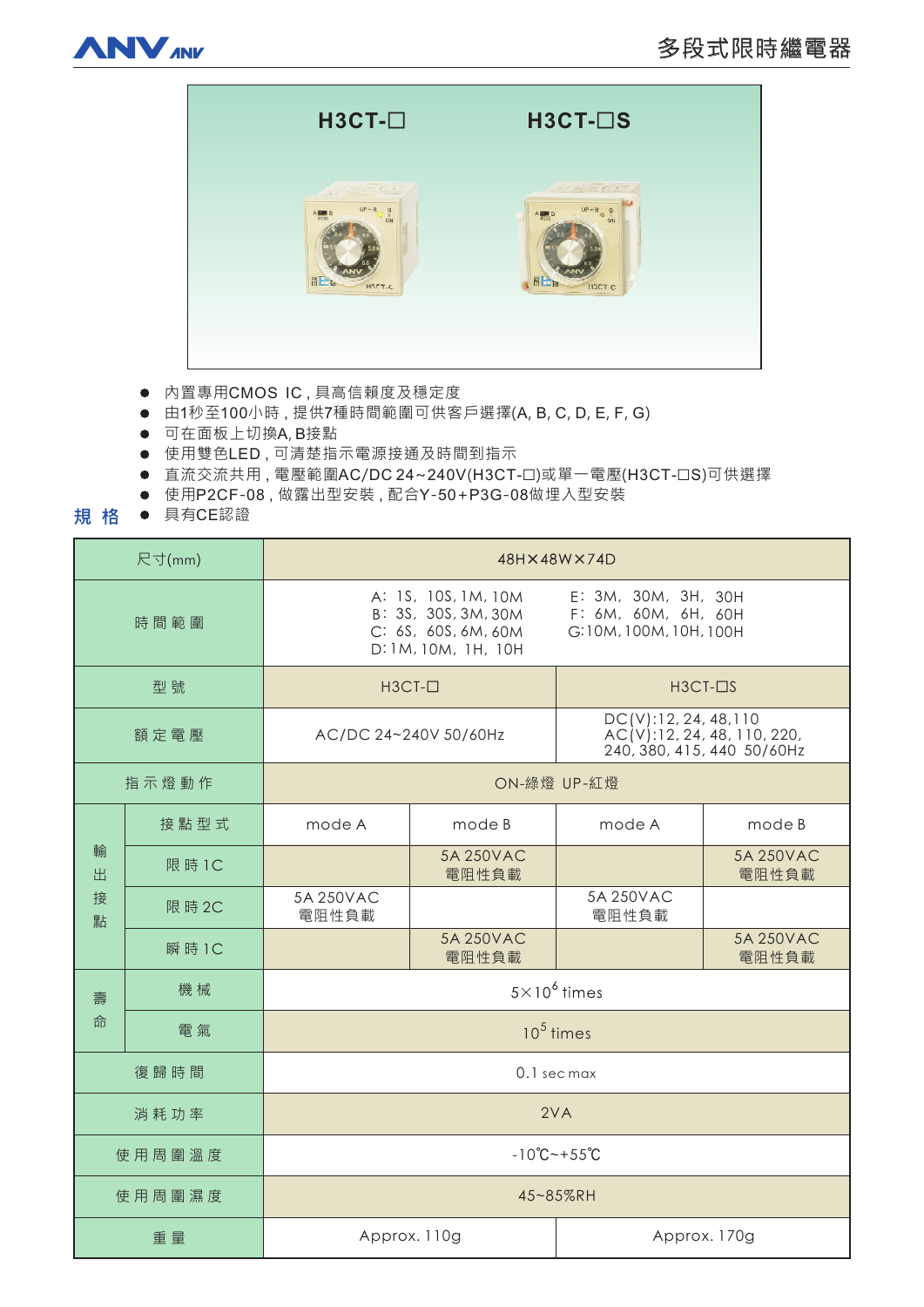



- 內置專用CMOS IC, 具高信賴度及穩定度
- 由1秒至100小時,提供7種時間範圍可供客戶選擇(A, B, C, D, E, F, G)
- 可在面板上切換A, B接點
- 使用雙色LED,可清楚指示電源接通及時間到指示
- 直流交流共用, 電壓範圍AC/DC 24~240V(H3CT-ロ)或單一電壓(H3CT-ロS)可供選擇
- 使用P2CF-08,做露出型安装,配合Y-50+P3G-08做埋入型安装
- 規格 具有CE認證

| 尺寸(mm)           |        | 48H×48W×74D                                                                                                                                                      |                    |                                                                                     |                    |
|------------------|--------|------------------------------------------------------------------------------------------------------------------------------------------------------------------|--------------------|-------------------------------------------------------------------------------------|--------------------|
| 時間範圍             |        | E: 3M, 30M, 3H, 30H<br>A: 1S, 10S, 1M, 10M<br>B: 3S, 30S, 3M, 30M<br>F: 6M, 60M, 6H, 60H<br>C: 6S, 60S, 6M, 60M<br>G:10M, 100M, 10H, 100H<br>D: 1M, 10M, 1H, 10H |                    |                                                                                     |                    |
| 型號               |        | $H3CT-D$                                                                                                                                                         |                    | $H3CT-IIS$                                                                          |                    |
| 額定電壓             |        | AC/DC 24~240V 50/60Hz                                                                                                                                            |                    | DC(V): 12, 24, 48, 110<br>AC(V):12, 24, 48, 110, 220,<br>240, 380, 415, 440 50/60Hz |                    |
| 指示燈動作            |        | ON-綠燈 UP-紅燈                                                                                                                                                      |                    |                                                                                     |                    |
| 輸<br>出<br>接<br>點 | 接點型式   | mode A                                                                                                                                                           | mode B             | mode A                                                                              | mode B             |
|                  | 限 時 1C |                                                                                                                                                                  | 5A 250VAC<br>電阻性負載 |                                                                                     | 5A 250VAC<br>電阻性負載 |
|                  | 限 時 2C | 5A 250VAC<br>電阻性負載                                                                                                                                               |                    | 5A 250VAC<br>電阻性負載                                                                  |                    |
|                  | 瞬 時 1C |                                                                                                                                                                  | 5A 250VAC<br>電阻性負載 |                                                                                     | 5A 250VAC<br>電阻性負載 |
| 壽<br>命           | 機械     | $5 \times 10^6$ times                                                                                                                                            |                    |                                                                                     |                    |
|                  | 電氣     | $10^5$ times                                                                                                                                                     |                    |                                                                                     |                    |
| 復歸時間             |        | 0.1 sec max                                                                                                                                                      |                    |                                                                                     |                    |
| 消耗功率             |        | 2VA                                                                                                                                                              |                    |                                                                                     |                    |
| 使用周圍溫度           |        | $-10^{\circ}C - +55^{\circ}C$                                                                                                                                    |                    |                                                                                     |                    |
| 使用周圍濕度           |        | 45~85%RH                                                                                                                                                         |                    |                                                                                     |                    |
| 重量               |        | Approx. 110g                                                                                                                                                     |                    | Approx. 170g                                                                        |                    |